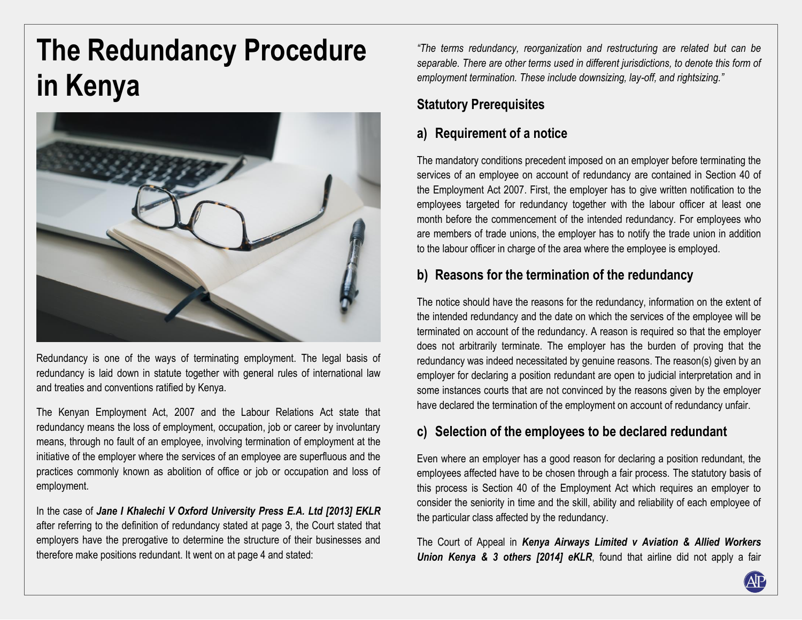# **The Redundancy Procedure in Kenya**



Redundancy is one of the ways of terminating employment. The legal basis of redundancy is laid down in statute together with general rules of international law and treaties and conventions ratified by Kenya.

The Kenyan Employment Act, 2007 and the Labour Relations Act state that redundancy means the loss of employment, occupation, job or career by involuntary means, through no fault of an employee, involving termination of employment at the initiative of the employer where the services of an employee are superfluous and the practices commonly known as abolition of office or job or occupation and loss of employment.

In the case of *Jane I Khalechi V Oxford University Press E.A. Ltd [2013] EKLR* after referring to the definition of redundancy stated at page 3, the Court stated that employers have the prerogative to determine the structure of their businesses and therefore make positions redundant. It went on at page 4 and stated:

*"The terms redundancy, reorganization and restructuring are related but can be separable. There are other terms used in different jurisdictions, to denote this form of employment termination. These include downsizing, lay-off, and rightsizing."*

## **Statutory Prerequisites**

## **a) Requirement of a notice**

The mandatory conditions precedent imposed on an employer before terminating the services of an employee on account of redundancy are contained in Section 40 of the Employment Act 2007. First, the employer has to give written notification to the employees targeted for redundancy together with the labour officer at least one month before the commencement of the intended redundancy. For employees who are members of trade unions, the employer has to notify the trade union in addition to the labour officer in charge of the area where the employee is employed.

## **b) Reasons for the termination of the redundancy**

The notice should have the reasons for the redundancy, information on the extent of the intended redundancy and the date on which the services of the employee will be terminated on account of the redundancy. A reason is required so that the employer does not arbitrarily terminate. The employer has the burden of proving that the redundancy was indeed necessitated by genuine reasons. The reason(s) given by an employer for declaring a position redundant are open to judicial interpretation and in some instances courts that are not convinced by the reasons given by the employer have declared the termination of the employment on account of redundancy unfair.

#### **c) Selection of the employees to be declared redundant**

Even where an employer has a good reason for declaring a position redundant, the employees affected have to be chosen through a fair process. The statutory basis of this process is Section 40 of the Employment Act which requires an employer to consider the seniority in time and the skill, ability and reliability of each employee of the particular class affected by the redundancy.

The Court of Appeal in *Kenya Airways Limited v Aviation & Allied Workers Union Kenya & 3 others [2014] eKLR*, found that airline did not apply a fair